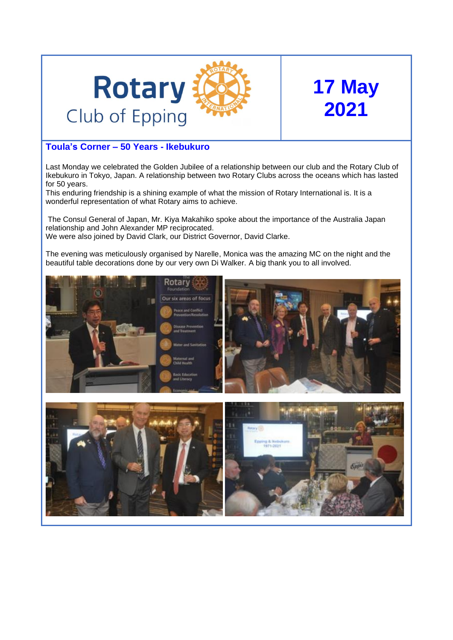

# **17 May 2021**

## **Toula's Corner – 50 Years - Ikebukuro**

Last Monday we celebrated the Golden Jubilee of a relationship between our club and the Rotary Club of Ikebukuro in Tokyo, Japan. A relationship between two Rotary Clubs across the oceans which has lasted for 50 years.

This enduring friendship is a shining example of what the mission of Rotary International is. It is a wonderful representation of what Rotary aims to achieve.

The Consul General of Japan, Mr. Kiya Makahiko spoke about the importance of the Australia Japan relationship and John Alexander MP reciprocated. We were also joined by David Clark, our District Governor, David Clarke.

The evening was meticulously organised by Narelle, Monica was the amazing MC on the night and the beautiful table decorations done by our very own Di Walker. A big thank you to all involved.

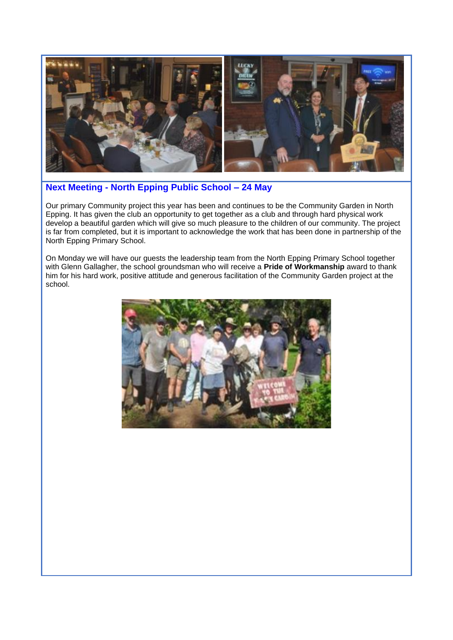

## **Next Meeting - North Epping Public School – 24 May**

Our primary Community project this year has been and continues to be the Community Garden in North Epping. It has given the club an opportunity to get together as a club and through hard physical work develop a beautiful garden which will give so much pleasure to the children of our community. The project is far from completed, but it is important to acknowledge the work that has been done in partnership of the North Epping Primary School.

On Monday we will have our guests the leadership team from the North Epping Primary School together with Glenn Gallagher, the school groundsman who will receive a **Pride of Workmanship** award to thank him for his hard work, positive attitude and generous facilitation of the Community Garden project at the school.

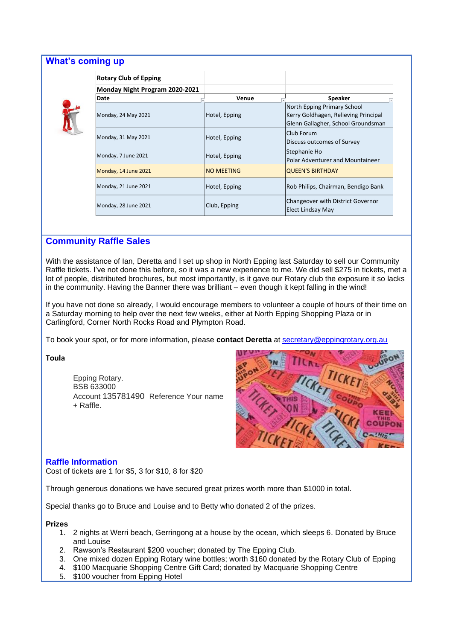#### **What's coming up**



| <b>Rotary Club of Epping</b>   |                   |                                                                                                           |
|--------------------------------|-------------------|-----------------------------------------------------------------------------------------------------------|
| Monday Night Program 2020-2021 |                   |                                                                                                           |
| Date                           | Venue             | <b>Speaker</b>                                                                                            |
| Monday, 24 May 2021            | Hotel, Epping     | North Epping Primary School<br>Kerry Goldhagen, Relieving Principal<br>Glenn Gallagher, School Groundsman |
| Monday, 31 May 2021            | Hotel, Epping     | Club Forum<br>Discuss outcomes of Survey                                                                  |
| Monday, 7 June 2021            | Hotel, Epping     | Stephanie Ho<br>Polar Adventurer and Mountaineer                                                          |
| Monday, 14 June 2021           | <b>NO MEETING</b> | <b>QUEEN'S BIRTHDAY</b>                                                                                   |
| Monday, 21 June 2021           | Hotel, Epping     | Rob Philips, Chairman, Bendigo Bank                                                                       |
| Monday, 28 June 2021           | Club, Epping      | Changeover with District Governor<br>Elect Lindsay May                                                    |

### **Community Raffle Sales**

With the assistance of Ian, Deretta and I set up shop in North Epping last Saturday to sell our Community Raffle tickets. I've not done this before, so it was a new experience to me. We did sell \$275 in tickets, met a lot of people, distributed brochures, but most importantly, is it gave our Rotary club the exposure it so lacks in the community. Having the Banner there was brilliant – even though it kept falling in the wind!

If you have not done so already, I would encourage members to volunteer a couple of hours of their time on a Saturday morning to help over the next few weeks, either at North Epping Shopping Plaza or in Carlingford, Corner North Rocks Road and Plympton Road.

To book your spot, or for more information, please **contact Deretta** at [secretary@eppingrotary.org.au](mailto:secretary@eppingrotary.org.au)

**Toula** 

Epping Rotary. BSB 633000 Account 135781490 Reference Your name + Raffle.



#### **Raffle Information**

Cost of tickets are 1 for \$5, 3 for \$10, 8 for \$20

Through generous donations we have secured great prizes worth more than \$1000 in total.

Special thanks go to Bruce and Louise and to Betty who donated 2 of the prizes.

#### **Prizes**

- 1. 2 nights at Werri beach, Gerringong at a house by the ocean, which sleeps 6. Donated by Bruce and Louise
- 2. Rawson's Restaurant \$200 voucher; donated by The Epping Club.
- 3. One mixed dozen Epping Rotary wine bottles; worth \$160 donated by the Rotary Club of Epping
- 4. \$100 Macquarie Shopping Centre Gift Card; donated by Macquarie Shopping Centre
- 5. \$100 voucher from Epping Hotel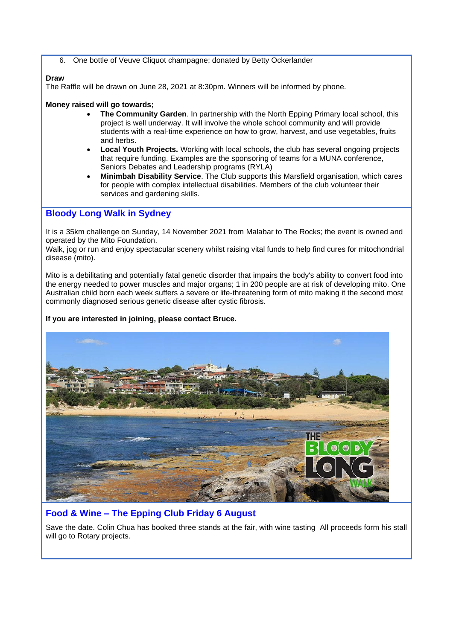6. One bottle of Veuve Cliquot champagne; donated by Betty Ockerlander

#### **Draw**

The Raffle will be drawn on June 28, 2021 at 8:30pm. Winners will be informed by phone.

#### **Money raised will go towards;**

- **The Community Garden**. In partnership with the North Epping Primary local school, this project is well underway. It will involve the whole school community and will provide students with a real-time experience on how to grow, harvest, and use vegetables, fruits and herbs.
- **Local Youth Projects.** Working with local schools, the club has several ongoing projects that require funding. Examples are the sponsoring of teams for a MUNA conference, Seniors Debates and Leadership programs (RYLA)
- **Minimbah Disability Service**. The Club supports this Marsfield organisation, which cares for people with complex intellectual disabilities. Members of the club volunteer their services and gardening skills.

## **Bloody Long Walk in Sydney**

It is a 35km challenge on Sunday, 14 November 2021 from Malabar to The Rocks; the event is owned and operated by the Mito Foundation.

Walk, jog or run and enjoy spectacular scenery whilst raising vital funds to help find cures for mitochondrial disease (mito).

Mito is a debilitating and potentially fatal genetic disorder that impairs the body's ability to convert food into the energy needed to power muscles and major organs; 1 in 200 people are at risk of developing mito. One Australian child born each week suffers a severe or life-threatening form of mito making it the second most commonly diagnosed serious genetic disease after cystic fibrosis.

#### **If you are interested in joining, please contact Bruce.**



## **Food & Wine – The Epping Club Friday 6 August**

Save the date. Colin Chua has booked three stands at the fair, with wine tasting All proceeds form his stall will go to Rotary projects.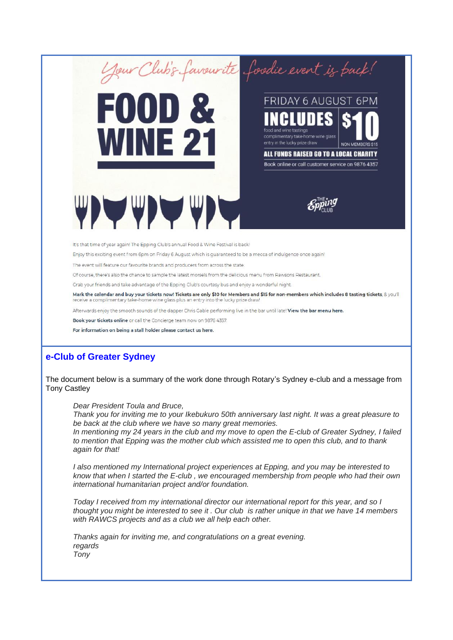**FOOD & WINE 21 THE STATE** 



entry in the lucky prize draw



ALL FUNDS RAISED GO TO A LOCAL CHARITY Book online or call customer service on 9876 4357

NON MEMB

It's that time of year again! The Epping Club's annual Food & Wine Festival is back!

Enjoy this exciting event from 6pm on Friday 6 August which is guaranteed to be a mecca of indulgence once again!

The event will feature our favourite brands and producers from across the state.

Of course, there's also the chance to sample the latest morsels from the delicious menu from Rawsons Restaurant.

Grab your friends and take advantage of the Epping Club's courtesy bus and enjoy a wonderful night.

Mark the calendar and buy your tickets now! Tickets are only \$10 for Members and \$15 for non-members which includes 8 tasting tickets, & you'll receive a complimentary take-home wine glass plus an entry into the lucky prize draw!

Afterwards enjoy the smooth sounds of the dapper Chris Gable performing live in the bar until late! View the bar menu here.

Book your tickets online or call the Concierge team now on 9876 4357.

For information on being a stall holder please contact us here.

#### **e-Club of Greater Sydney**

The document below is a summary of the work done through Rotary's Sydney e-club and a message from Tony Castley

*Dear President Toula and Bruce,*

*Thank you for inviting me to your Ikebukuro 50th anniversary last night. It was a great pleasure to be back at the club where we have so many great memories.*

*In mentioning my 24 years in the club and my move to open the E-club of Greater Sydney, I failed to mention that Epping was the mother club which assisted me to open this club, and to thank again for that!*

*I also mentioned my International project experiences at Epping, and you may be interested to know that when I started the E-club , we encouraged membership from people who had their own international humanitarian project and/or foundation.*

*Today I received from my international director our international report for this year, and so I thought you might be interested to see it . Our club is rather unique in that we have 14 members with RAWCS projects and as a club we all help each other.*

*Thanks again for inviting me, and congratulations on a great evening. regards Tony*